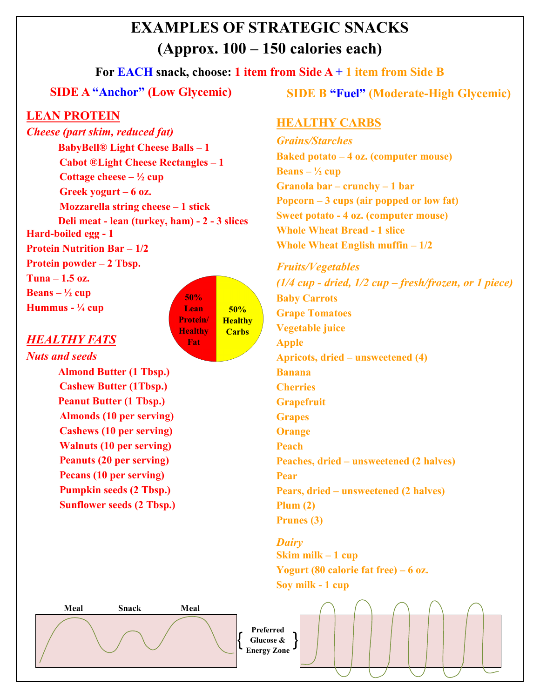# **EXAMPLES OF STRATEGIC SNACKS (Approx. 100 – 150 calories each)**

# **For EACH snack, choose: 1 item from Side A + 1 item from Side B**

# **SIDE A "Anchor" (Low Glycemic)**

# **LEAN PROTEIN**

*Cheese (part skim, reduced fat)* **BabyBell® Light Cheese Balls – 1 Cabot ®Light Cheese Rectangles – 1 Cottage cheese – ½ cup Greek yogurt – 6 oz. Mozzarella string cheese – 1 stick Deli meat - lean (turkey, ham) - 2 - 3 slices Hard-boiled egg - 1 Protein Nutrition Bar – 1/2 Protein powder – 2 Tbsp. Tuna – 1.5 oz. Beans – ½ cup Hummus - ¼ cup 50%**

### *HEALTHY FATS*

*Nuts and seeds* **Almond Butter (1 Tbsp.) Cashew Butter (1Tbsp.) Peanut Butter (1 Tbsp.) Almonds (10 per serving) Cashews (10 per serving) Walnuts (10 per serving) Peanuts (20 per serving) Pecans (10 per serving) Pumpkin seeds (2 Tbsp.) Sunflower seeds (2 Tbsp.)** **SIDE B "Fuel" (Moderate-High Glycemic)**

#### **HEALTHY CARBS**

*Grains/Starches* **Baked potato – 4 oz. (computer mouse) Beans**  $\frac{1}{2}$  cup **Granola bar – crunchy – 1 bar Popcorn – 3 cups (air popped or low fat) Sweet potato - 4 oz. (computer mouse) Whole Wheat Bread - 1 slice Whole Wheat English muffin – 1/2**

*Fruits/Vegetables (1/4 cup - dried, 1/2 cup – fresh/frozen, or 1 piece)* **Baby Carrots Grape Tomatoes Vegetable juice Apple Apricots, dried – unsweetened (4) Banana Cherries Grapefruit Grapes Orange Peach Peaches, dried – unsweetened (2 halves) Pear Pears, dried – unsweetened (2 halves) Plum (2) Prunes (3)**

*Dairy* **Skim milk – 1 cup Yogurt (80 calorie fat free) – 6 oz. Soy milk - 1 cup**